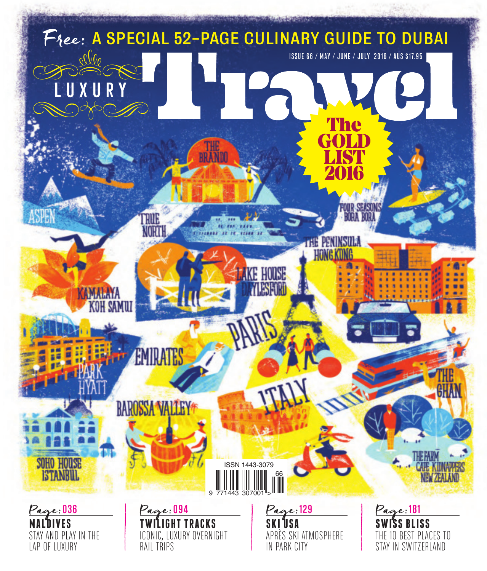

**MALDIVES** STAY AND PLAY IN THE LAP OF LUXURY

**GHT TRACKS** ICONIC, LUXURY OVERNIGHT RAIL TRIPS

**SKI USA** APRÈS SKI ATMOSPHERE IN PARK CITY

**SWISS BLISS** THE 10 BEST PLACES TO STAY IN SWITZERLAND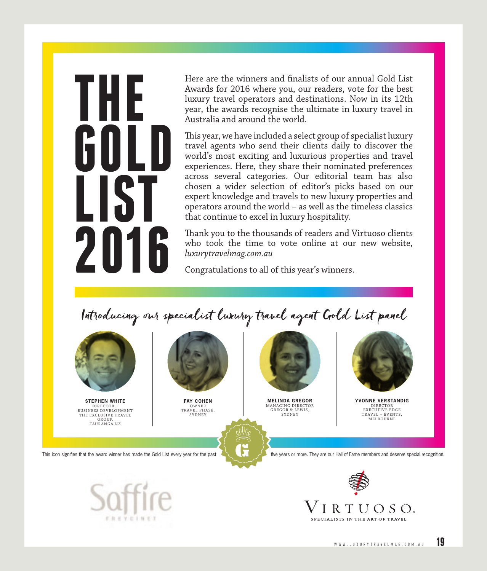# THI 201

Here are the winners and finalists of our annual Gold List Awards for 2016 where you, our readers, vote for the best luxury travel operators and destinations. Now in its 12th year, the awards recognise the ultimate in luxury travel in Australia and around the world.

This year, we have included a select group of specialist luxury travel agents who send their clients daily to discover the world's most exciting and luxurious properties and travel experiences. Here, they share their nominated preferences across several categories. Our editorial team has also chosen a wider selection of editor's picks based on our expert knowledge and travels to new luxury properties and operators around the world – as well as the timeless classics that continue to excel in luxury hospitality.

Thank you to the thousands of readers and Virtuoso clients who took the time to vote online at our new website, *luxurytravelmag.com.au*

Congratulations to all of this year's winners.

Introducing our specialist luxury travel agent Gold List panel